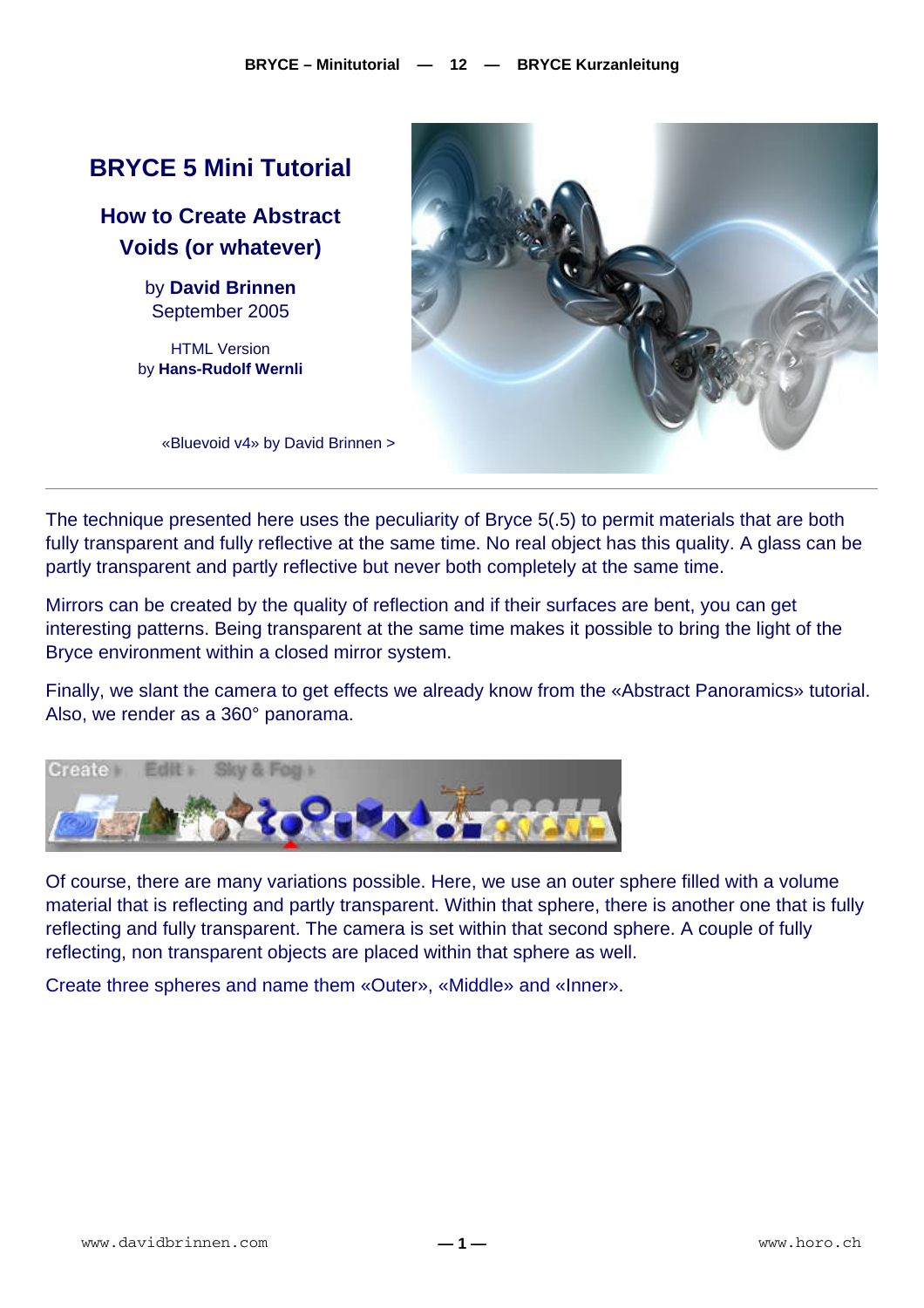# **BRYCE 5 Mini Tutorial**

**How to Create Abstract Voids (or whatever)** 

> by **David Brinnen** September 2005

HTML Version by **Hans-Rudolf Wernli**



«Bluevoid v4» by David Brinnen >

The technique presented here uses the peculiarity of Bryce 5(.5) to permit materials that are both fully transparent and fully reflective at the same time. No real object has this quality. A glass can be partly transparent and partly reflective but never both completely at the same time.

Mirrors can be created by the quality of reflection and if their surfaces are bent, you can get interesting patterns. Being transparent at the same time makes it possible to bring the light of the Bryce environment within a closed mirror system.

Finally, we slant the camera to get effects we already know from the «Abstract Panoramics» tutorial. Also, we render as a 360° panorama.



Of course, there are many variations possible. Here, we use an outer sphere filled with a volume material that is reflecting and partly transparent. Within that sphere, there is another one that is fully reflecting and fully transparent. The camera is set within that second sphere. A couple of fully reflecting, non transparent objects are placed within that sphere as well.

Create three spheres and name them «Outer», «Middle» and «Inner».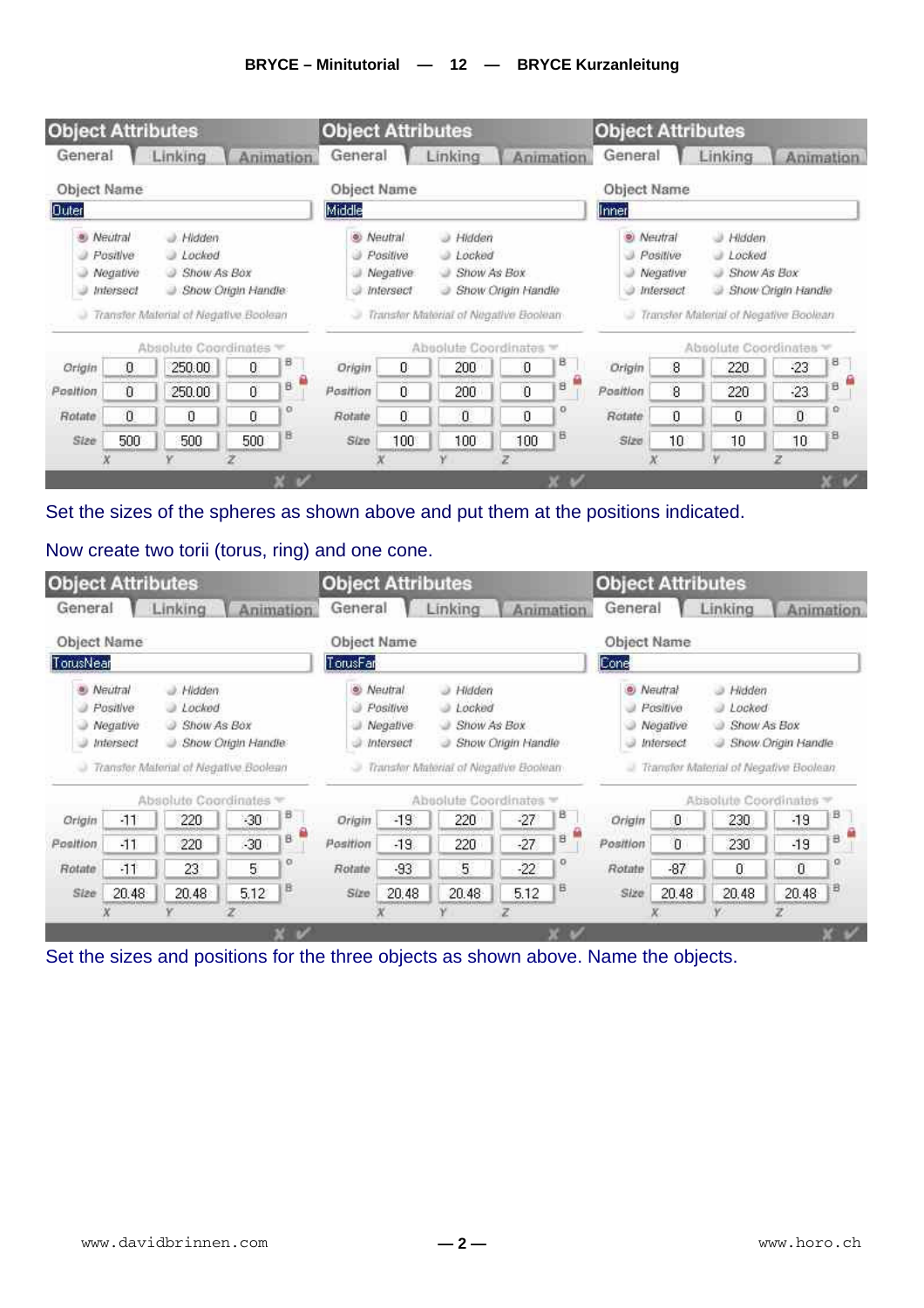#### **BRYCE – Minitutorial — 12 — BRYCE Kurzanleitung**



#### Set the sizes of the spheres as shown above and put them at the positions indicated.

#### Now create two torii (torus, ring) and one cone.

| Object Name                                                                                                                                                                |       | Linking              |       | Animation. | Object Name                                                                                                                                                                              | Linking | Linking<br><b>Animation</b><br>Object Name |       |        |                                                                                                                                                                                |                |                      |          |   |
|----------------------------------------------------------------------------------------------------------------------------------------------------------------------------|-------|----------------------|-------|------------|------------------------------------------------------------------------------------------------------------------------------------------------------------------------------------------|---------|--------------------------------------------|-------|--------|--------------------------------------------------------------------------------------------------------------------------------------------------------------------------------|----------------|----------------------|----------|---|
| TorusNear                                                                                                                                                                  |       |                      |       |            | TorusFar                                                                                                                                                                                 |         |                                            |       |        | Cone                                                                                                                                                                           |                |                      |          |   |
| · Neutral<br>Hidden<br>ab.<br>Positive<br>Lochod<br>Show As Box<br>Negative<br>٨<br>Show Origin Handle<br><i><b>Intersect</b></i><br>Transfer Material of Negative Boolean |       |                      |       |            | <sup>®</sup> Neutral<br>a Hidden<br>J Locked<br>Positive<br>Show As Box<br>Negative:<br>ు<br>Show Origin Handle<br><i><b>Intersect</b></i><br>ت<br>Transfer Material of Negative Bookhan |         |                                            |       |        | ø)<br>Neutral<br>Hidden.<br>a<br>s<br>Locked<br>Positive<br>Show As Box<br>Negative<br>э<br>o<br>Show Origin Handle<br>э<br>Intersect<br>Transfer Material of Negative Boolean |                |                      |          |   |
|                                                                                                                                                                            |       |                      |       |            |                                                                                                                                                                                          |         |                                            |       |        |                                                                                                                                                                                |                |                      |          |   |
|                                                                                                                                                                            |       | Absolute Coordinates |       |            |                                                                                                                                                                                          |         | Absolute Coordinates                       |       |        |                                                                                                                                                                                |                | Absolute Coordinates |          |   |
| Origin                                                                                                                                                                     | $-11$ | 220                  | $-30$ | B          | Origin.                                                                                                                                                                                  | $-19$   | 220                                        | $-27$ | В      | Origin                                                                                                                                                                         | O              | 230                  | $-19$    | в |
|                                                                                                                                                                            | $-11$ | 220                  | $-30$ | в          | Position                                                                                                                                                                                 | $-19.$  | 220                                        | $-27$ | м<br>B | Position                                                                                                                                                                       | $\overline{0}$ | 230                  | $-19$    | а |
| Position<br>Rotate                                                                                                                                                         | $-11$ | 23                   | 5     | o          | Rotate                                                                                                                                                                                   | $-93$   | 5                                          | $-22$ | o      | Rotate                                                                                                                                                                         | $-87$          | $\theta$             | $\bf{0}$ | o |

Set the sizes and positions for the three objects as shown above. Name the objects.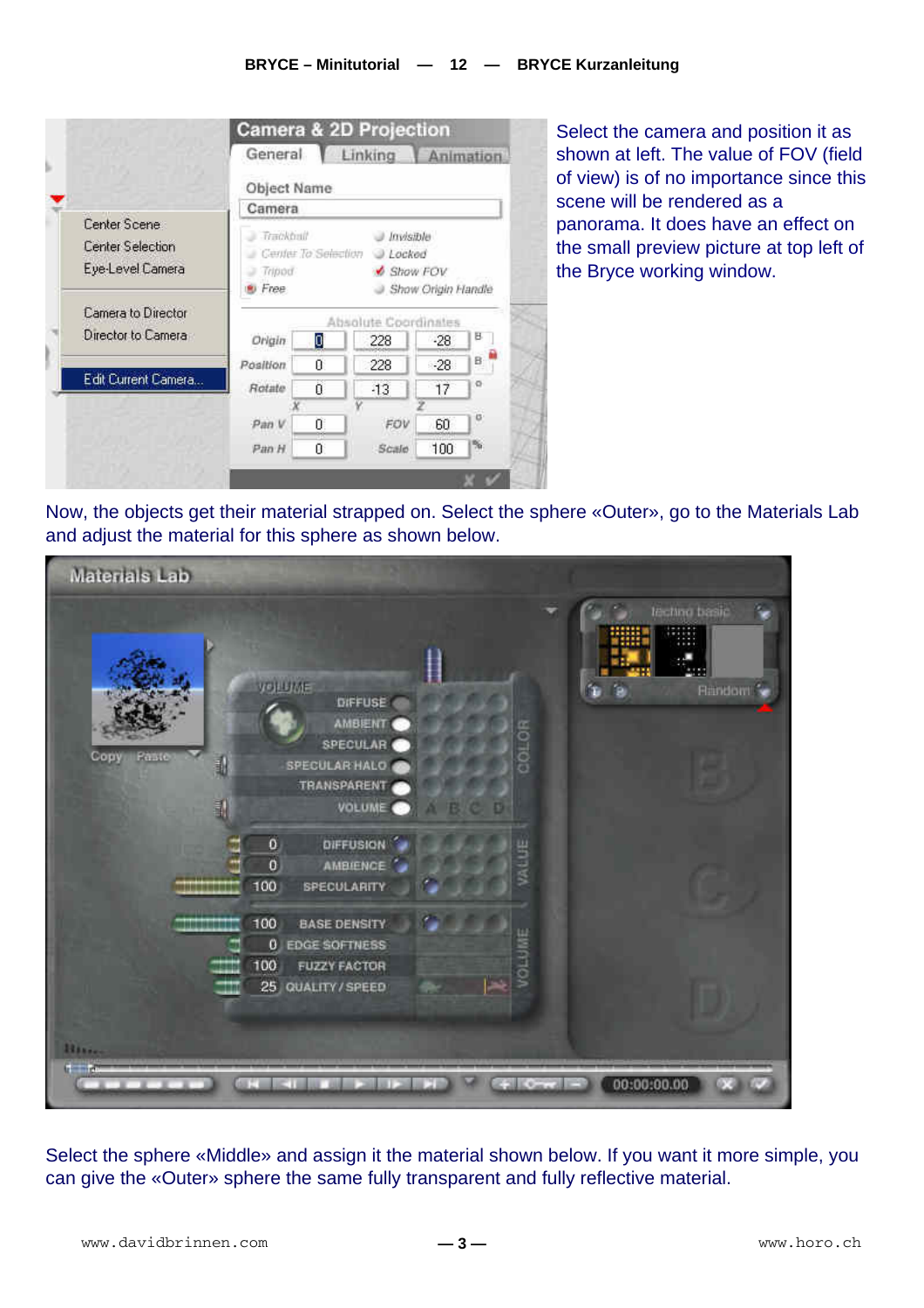

Select the camera and position it as shown at left. The value of FOV (field of view) is of no importance since this scene will be rendered as a panorama. It does have an effect on the small preview picture at top left of the Bryce working window.

Now, the objects get their material strapped on. Select the sphere «Outer», go to the Materials Lab and adjust the material for this sphere as shown below.



Select the sphere «Middle» and assign it the material shown below. If you want it more simple, you can give the «Outer» sphere the same fully transparent and fully reflective material.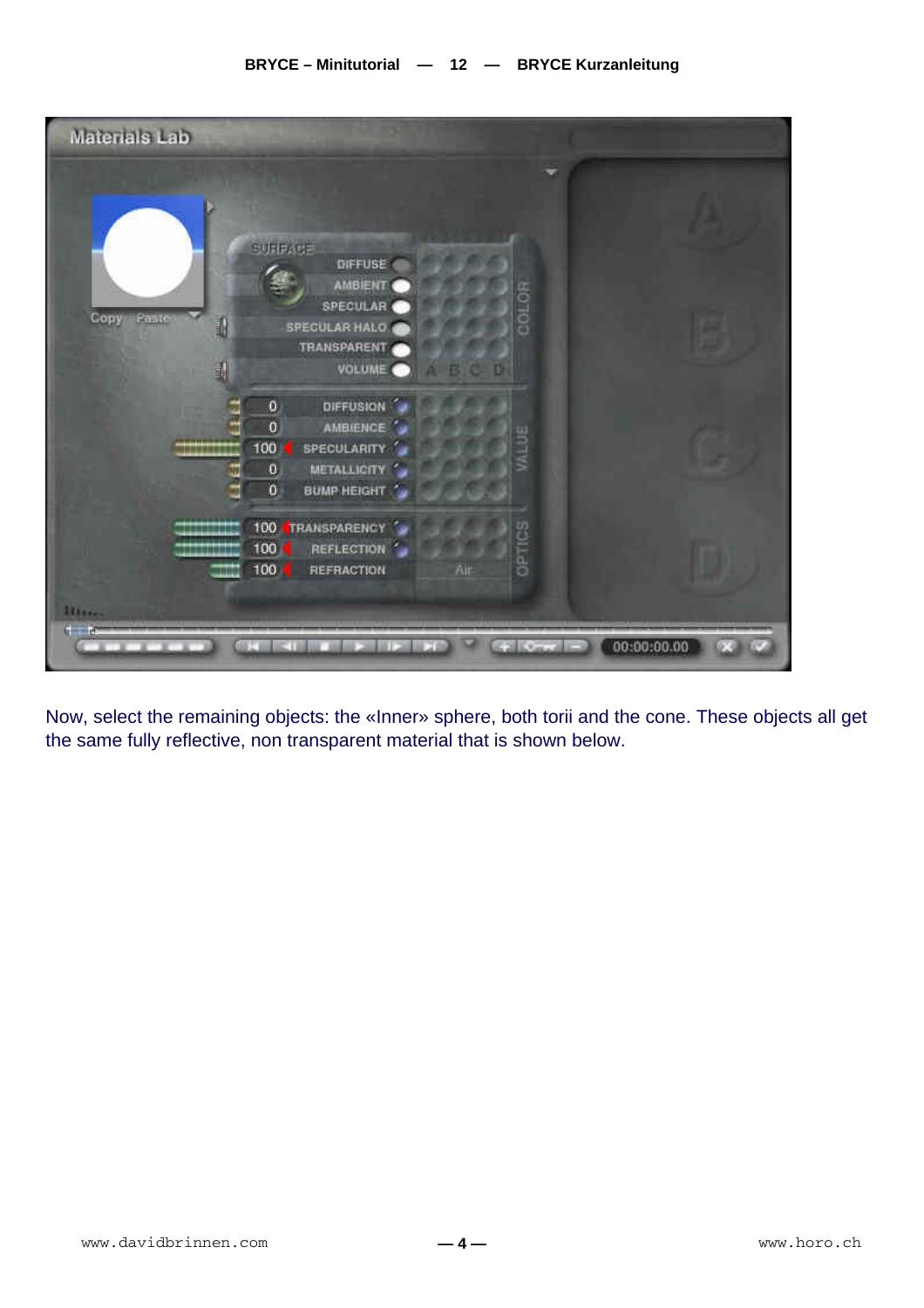

Now, select the remaining objects: the «Inner» sphere, both torii and the cone. These objects all get the same fully reflective, non transparent material that is shown below.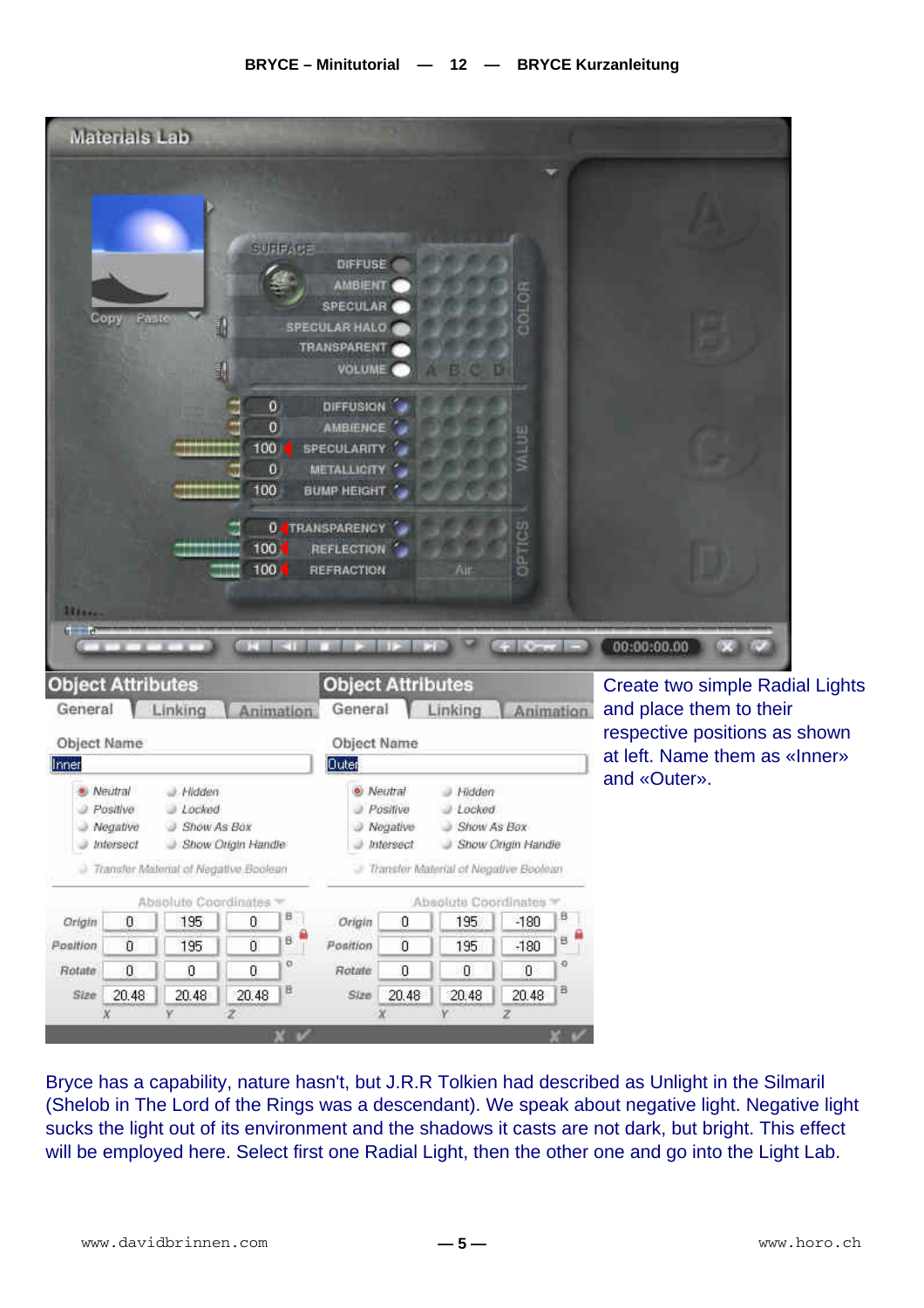|                                            | Materials Lab                                  |                                                                                                       |                                                             |                |                                                                                                                                       |                                                    |                                                                                                    |                          |                  |                                                          |
|--------------------------------------------|------------------------------------------------|-------------------------------------------------------------------------------------------------------|-------------------------------------------------------------|----------------|---------------------------------------------------------------------------------------------------------------------------------------|----------------------------------------------------|----------------------------------------------------------------------------------------------------|--------------------------|------------------|----------------------------------------------------------|
|                                            | Copy<br>Paste                                  | E.<br>E.                                                                                              |                                                             | <b>SURFACE</b> | DIFFUSE<br><b>AMBIENT</b><br><b>SPECULAR</b><br>SPECULAR HALO<br>TRANSPARENT<br>VOLUME O                                              |                                                    |                                                                                                    |                          |                  |                                                          |
|                                            |                                                | ,,,,,,,,,,,,<br>*******<br>,,,,,,,,                                                                   | ٥<br>$\bf{0}$<br>100<br>o<br>100<br>100 <sub>1</sub><br>100 |                | DIFFUSION<br><b>AMBIENCE</b><br><b>SPECULARITY</b><br>METALLIGITY<br>BUMP HEIGHT<br><b>O TRANSPARENCY</b><br>REFLECTION<br>REFRACTION |                                                    | Ait.                                                                                               | o                        |                  |                                                          |
| <b>Hitting</b><br><b>Object Attributes</b> | <b>The Company's Company</b>                   |                                                                                                       |                                                             | <b>KEISTER</b> | <b>Object Attributes</b>                                                                                                              |                                                    |                                                                                                    | <b>Call County Lines</b> |                  | 00:00:00.00<br><b>Create two simple Radial Lights</b>    |
| General                                    |                                                | Linking                                                                                               | Animation.                                                  |                | General                                                                                                                               |                                                    | Linking                                                                                            |                          | <b>Animation</b> | and place them to their<br>respective positions as shown |
| Object Name                                |                                                |                                                                                                       |                                                             |                | Object Name                                                                                                                           |                                                    |                                                                                                    |                          |                  | at left. Name them as «Inner»                            |
| Inner                                      |                                                |                                                                                                       |                                                             |                | <b>Quter</b>                                                                                                                          |                                                    |                                                                                                    |                          |                  | and «Outer».                                             |
|                                            | · Neutral<br>Positive<br>Negative<br>Intersect | J. Hidden<br>$J$ Locked<br>Show As Box<br>Show Origin Handle<br>Transfer Material of Negative Boolean |                                                             |                |                                                                                                                                       | · Neutral<br>Positive<br>J Negative<br>a Intersect | Hidden<br>@ Locked<br>Show As Box<br>Show Origin Handie<br>- Transfer Material of Negative Boolean |                          |                  |                                                          |
|                                            |                                                | Absolute Coordinates                                                                                  |                                                             |                |                                                                                                                                       |                                                    | Absolute Coordinates                                                                               |                          |                  |                                                          |
| Origin                                     | O                                              | 195                                                                                                   | $\theta$                                                    | B.             | Origin                                                                                                                                | O                                                  | 195                                                                                                | $-180$                   | ₿                |                                                          |
| Position                                   | $\mathbf 0$                                    | 195                                                                                                   | Ü.                                                          | ۹<br>B.        | Position                                                                                                                              | $\mathbf 0$                                        | 195                                                                                                | $-180$                   | a <sup>A</sup>   |                                                          |
| Rotate                                     | $\boldsymbol{0}$                               | 0                                                                                                     | Ū.                                                          | ø              | Rotate                                                                                                                                | $\boldsymbol{0}$                                   | 0                                                                                                  | 0                        | o                |                                                          |
| Size                                       | 20.48                                          | 20.48                                                                                                 | 20.48                                                       | B              | Size                                                                                                                                  | 20.48                                              | 20.48                                                                                              | 20.48                    | B                |                                                          |

Bryce has a capability, nature hasn't, but J.R.R Tolkien had described as Unlight in the Silmaril (Shelob in The Lord of the Rings was a descendant). We speak about negative light. Negative light sucks the light out of its environment and the shadows it casts are not dark, but bright. This effect will be employed here. Select first one Radial Light, then the other one and go into the Light Lab.

Ÿ

 $\overline{z}$ 

Ÿ

ż

 $\chi$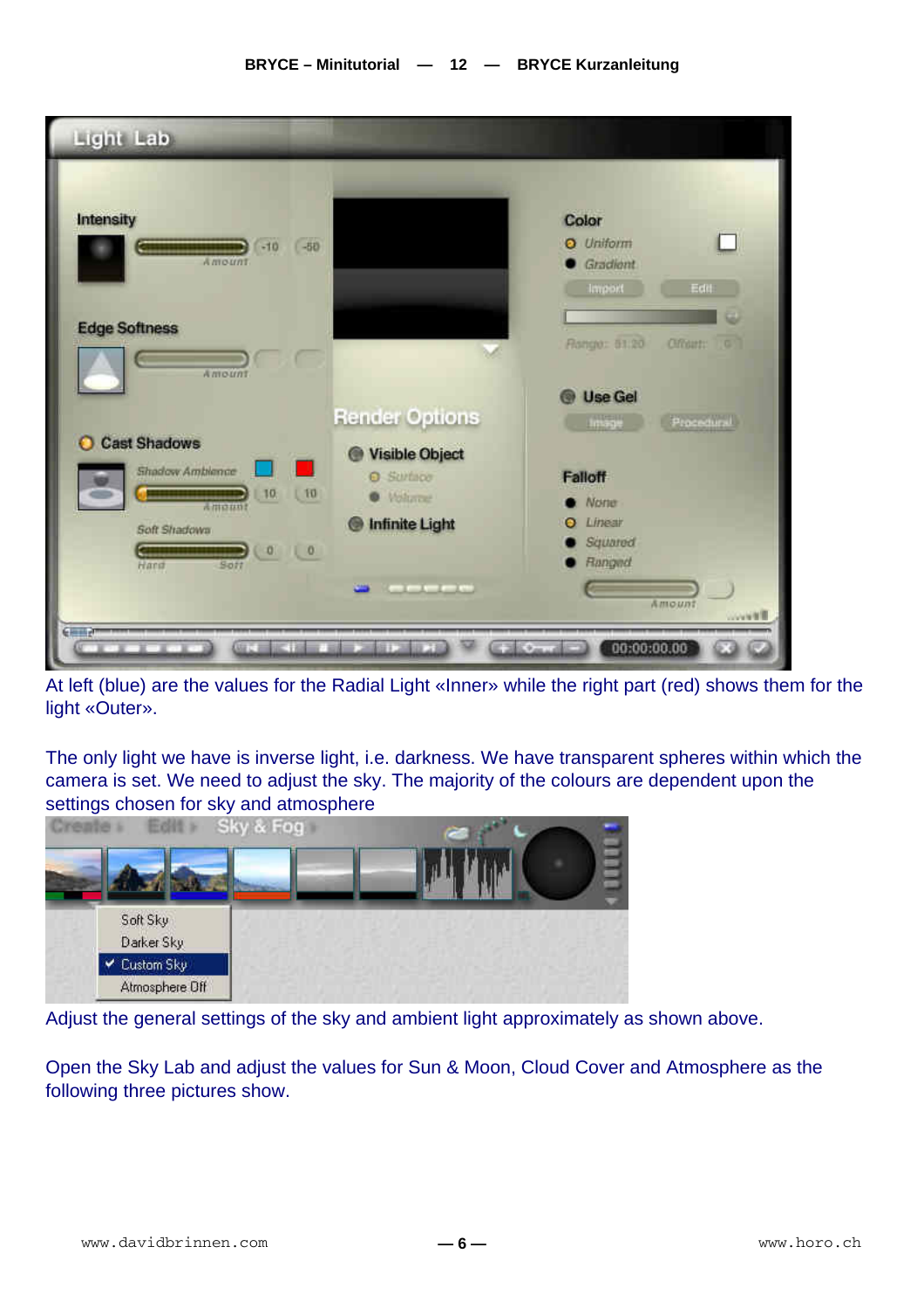

At left (blue) are the values for the Radial Light «Inner» while the right part (red) shows them for the light «Outer».

The only light we have is inverse light, i.e. darkness. We have transparent spheres within which the camera is set. We need to adjust the sky. The majority of the colours are dependent upon the settings chosen for sky and atmosphere



Adjust the general settings of the sky and ambient light approximately as shown above.

Open the Sky Lab and adjust the values for Sun & Moon, Cloud Cover and Atmosphere as the following three pictures show.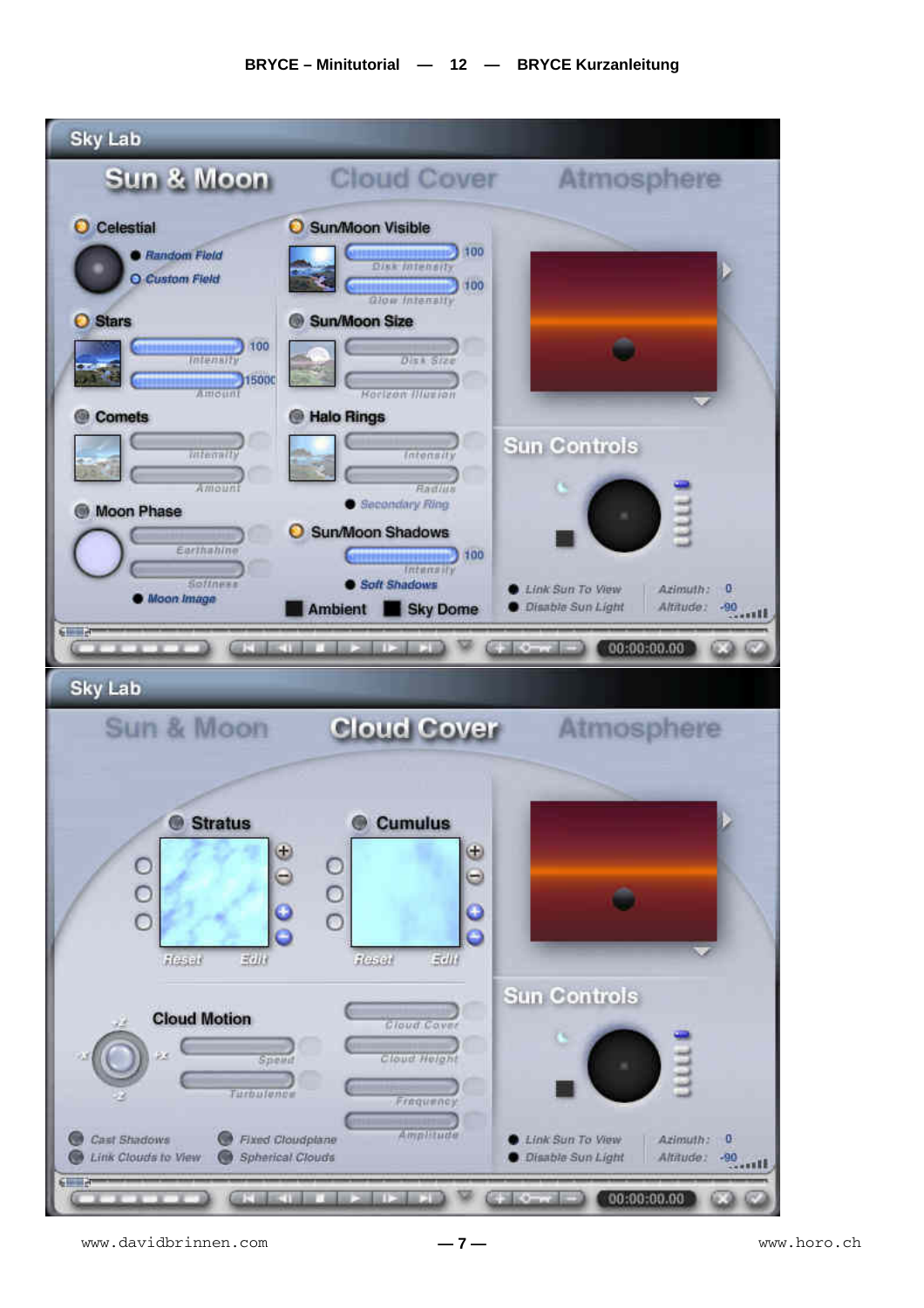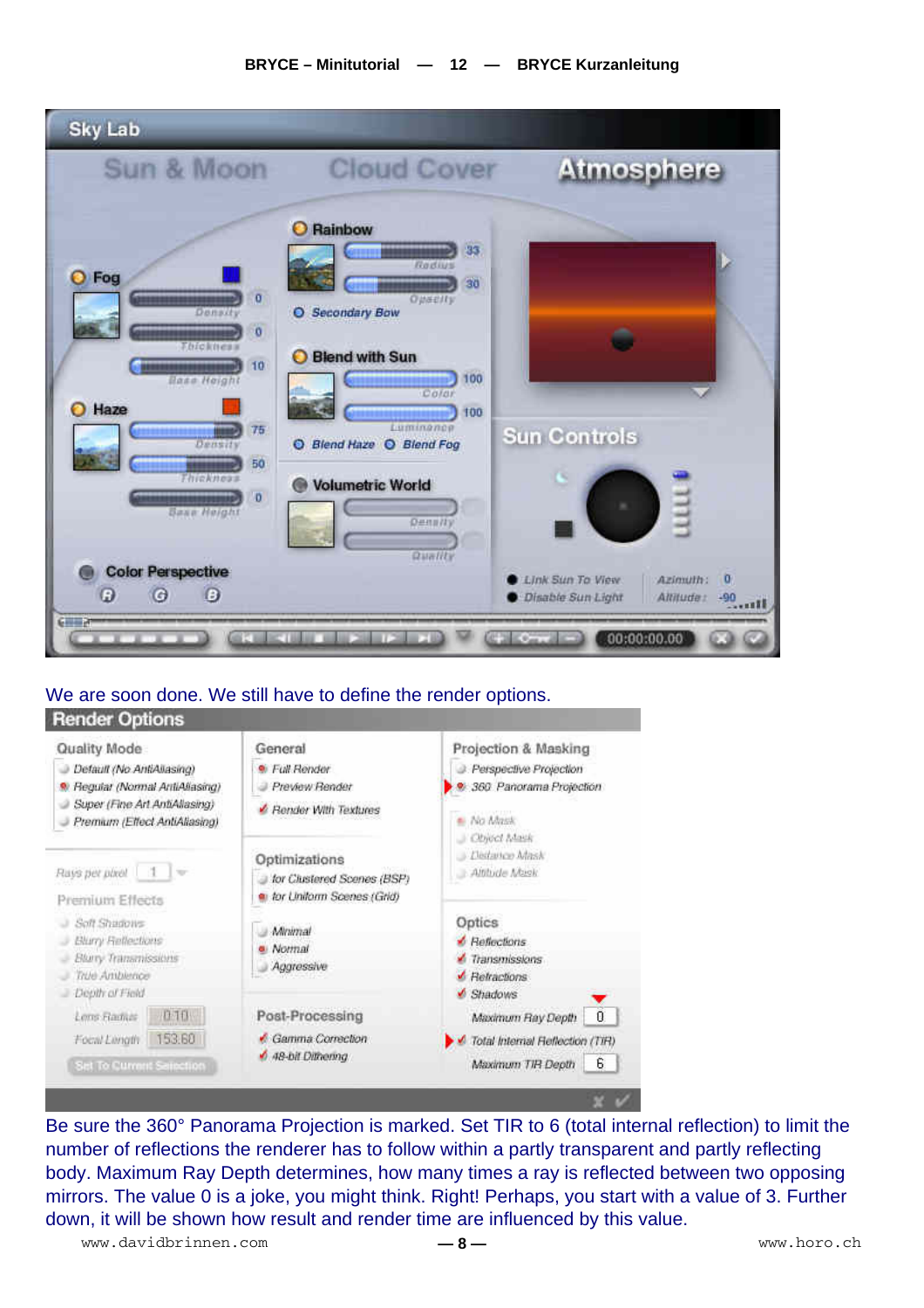#### **BRYCE – Minitutorial — 12 — BRYCE Kurzanleitung**



### We are soon done. We still have to define the render options.

#### **Render Options** Quality Mode General Projection & Masking  $\bullet$  Full Render **2** Perspective Projection Default (No AntiAliasing) Preview Render · 360 Panorama Projection <sup>9</sup> Regular (Normal AntiAliasing) Super (Fine Art AntiAllasing) Render With Textures - No Mask Premium (Effect AntiAllasing) Chied Mask - Distance Mask Optimizations Rays per pixel  $\mathbb{R}$ Aithide Mask J for Clustered Scenes (BSP) tor Unitorm Scenes (Grid) Premium Effects Soft Shadows Optics **Minimal Blury Reflections A** Reflections · Normal **Blury Transmissions**  $\angle$  Transmissions Aggressive True Ambience Betractions Depth of Field Shadows Lens Radias 0.10 Post-Processing Maximum Ray Depth  $\overline{0}$ Focal Longth 153.60 Gamma Correction Total Internal Reflection (TIR) 6 48-bit Diffrema Maximum TIR Depth  $6$ Set To Current Sainction

Be sure the 360° Panorama Projection is marked. Set TIR to 6 (total internal reflection) to limit the number of reflections the renderer has to follow within a partly transparent and partly reflecting body. Maximum Ray Depth determines, how many times a ray is reflected between two opposing mirrors. The value 0 is a joke, you might think. Right! Perhaps, you start with a value of 3. Further down, it will be shown how result and render time are influenced by this value.

www.davidbrinnen.com **— 8 —** www.horo.ch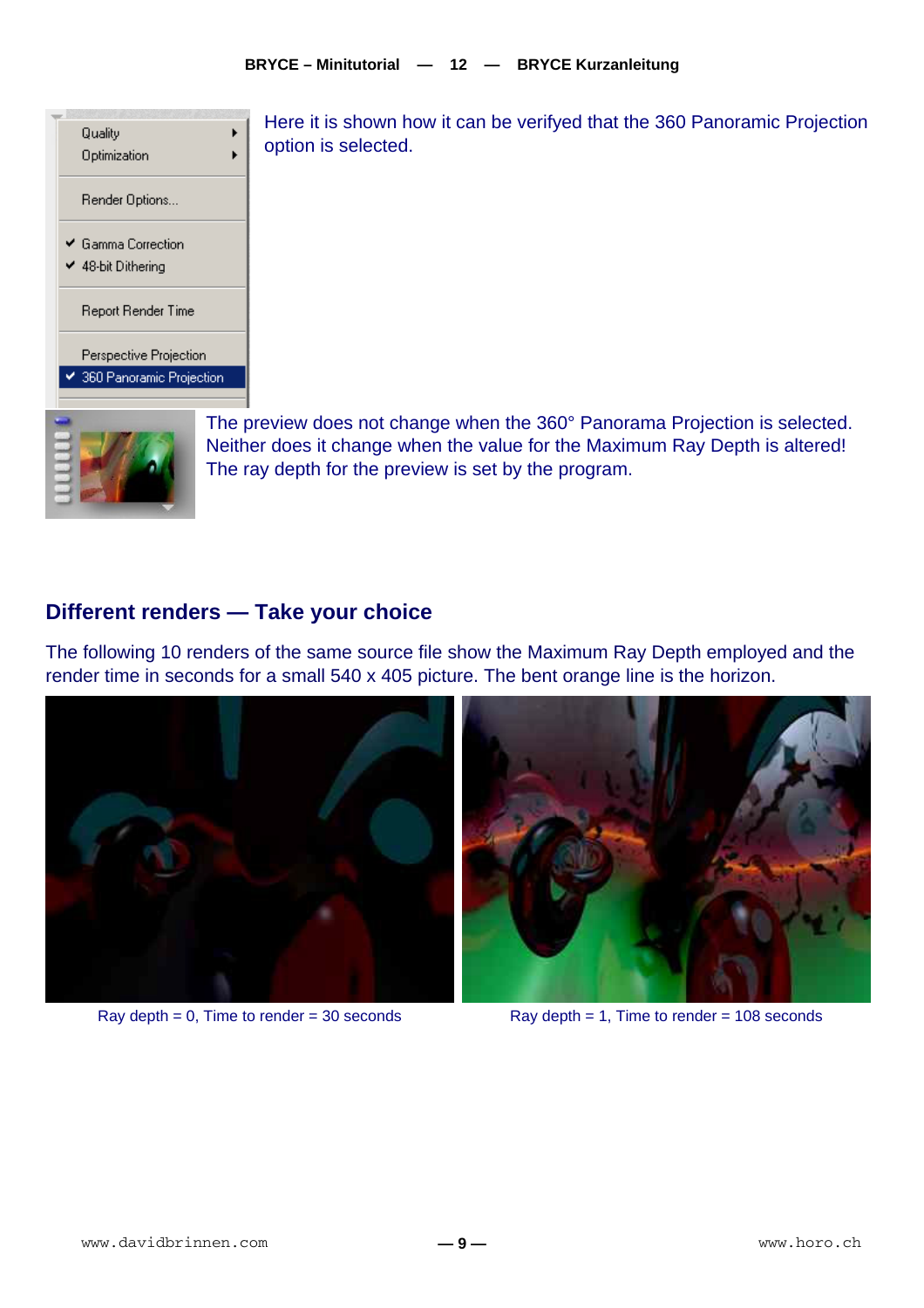

Here it is shown how it can be verifyed that the 360 Panoramic Projection option is selected.

The preview does not change when the 360° Panorama Projection is selected. Neither does it change when the value for the Maximum Ray Depth is altered! The ray depth for the preview is set by the program.

## **Different renders — Take your choice**

The following 10 renders of the same source file show the Maximum Ray Depth employed and the render time in seconds for a small 540 x 405 picture. The bent orange line is the horizon.



Ray depth  $= 0$ , Time to render  $= 30$  seconds Ray depth  $= 1$ , Time to render  $= 108$  seconds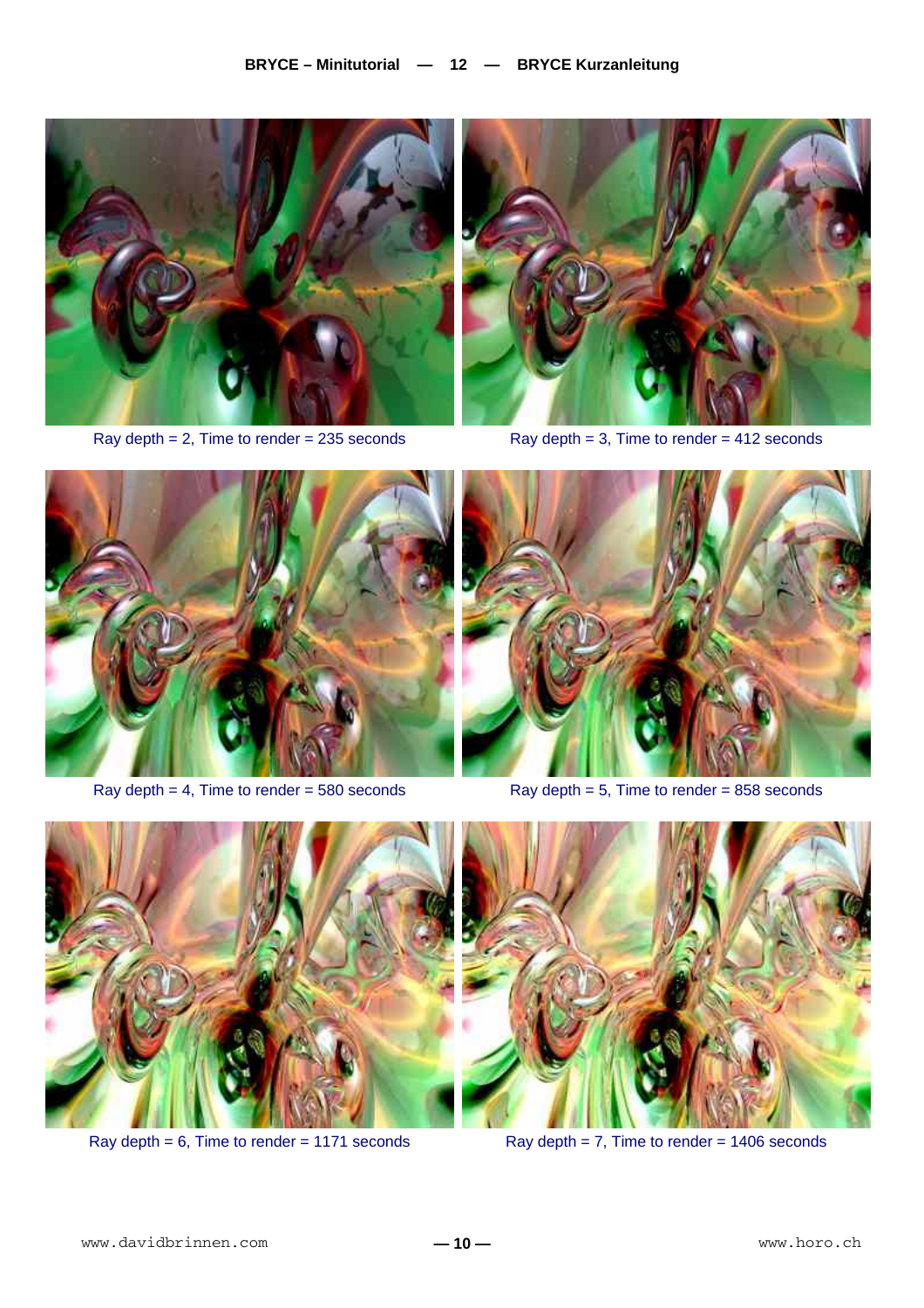



Ray depth  $= 2$ , Time to render  $= 235$  seconds Ray depth  $= 3$ , Time to render  $= 412$  seconds



Ray depth  $= 4$ , Time to render  $= 580$  seconds Ray depth  $= 5$ , Time to render  $= 858$  seconds





Ray depth =  $6$ , Time to render = 1171 seconds Ray depth =  $7$ , Time to render = 1406 seconds

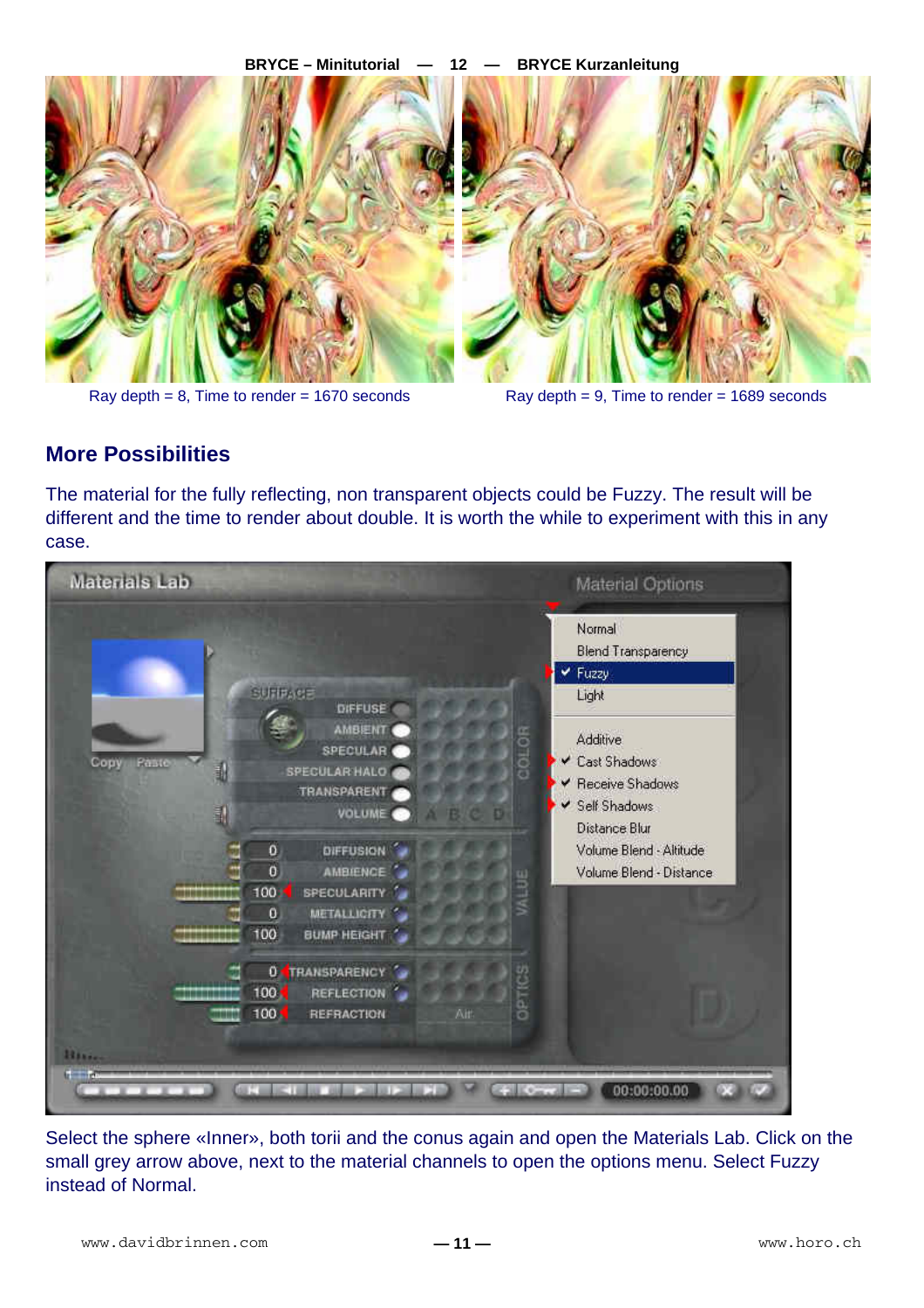

Ray depth  $= 8$ , Time to render  $= 1670$  seconds Ray depth  $= 9$ , Time to render  $= 1689$  seconds

## **More Possibilities**

The material for the fully reflecting, non transparent objects could be Fuzzy. The result will be different and the time to render about double. It is worth the while to experiment with this in any case.

| Materials Lab                      |                                                                                                                                                                                                                                                                | Material Options                                                                                                                                                                                       |
|------------------------------------|----------------------------------------------------------------------------------------------------------------------------------------------------------------------------------------------------------------------------------------------------------------|--------------------------------------------------------------------------------------------------------------------------------------------------------------------------------------------------------|
| Copy<br>Paste<br>訃<br>F<br>,,,,,,, | <b>SUPPAGE</b><br><b>DIFFUSE</b><br>AMBIENT<br>2010F<br>SPECULAR<br><b>SPECULAR HALO</b><br>TRANSPARENT<br>VOLUME O<br>ö<br>DIFFUSION<br>$\mathbf 0$<br><b>AMBIENCE</b><br>WILBE<br>100<br><b>SPECULARITY</b><br>METALLIGITY<br>0<br>100<br><b>BUMP HEIGHT</b> | Normal<br><b>Blend Transparency</b><br>✔ Fuzzy<br>Light<br><b>Additive</b><br>Cast Shadows<br>← Receive Shadows<br>Self Shadows<br>Distance Blur<br>Volume Blend - Altitude<br>Volume Blend - Distance |
| man<br>History<br><b>Common</b>    | <b>0 TRANSPARENCY</b><br><b>OPTICS</b><br>100 <sub>1</sub><br><b>REFLECTION</b><br>100<br>REFRACTION<br>ÄΙ.<br>Cours                                                                                                                                           | 00:00:00.00                                                                                                                                                                                            |

Select the sphere «Inner», both torii and the conus again and open the Materials Lab. Click on the small grey arrow above, next to the material channels to open the options menu. Select Fuzzy instead of Normal.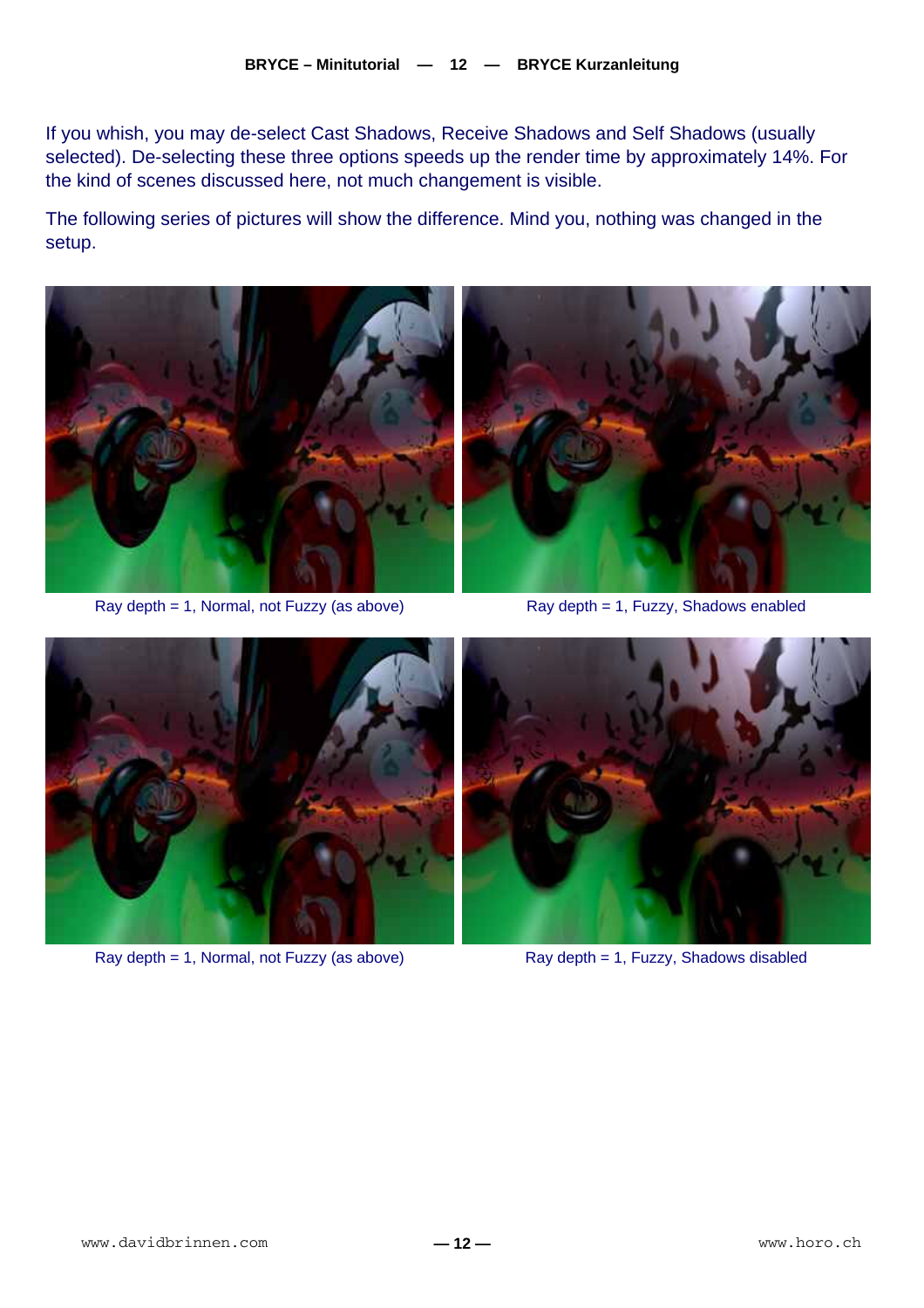If you whish, you may de-select Cast Shadows, Receive Shadows and Self Shadows (usually selected). De-selecting these three options speeds up the render time by approximately 14%. For the kind of scenes discussed here, not much changement is visible.

The following series of pictures will show the difference. Mind you, nothing was changed in the setup.



Ray depth  $= 1$ , Normal, not Fuzzy (as above) Ray depth  $= 1$ , Fuzzy, Shadows enabled





Ray depth = 1, Normal, not Fuzzy (as above) Ray depth = 1, Fuzzy, Shadows disabled

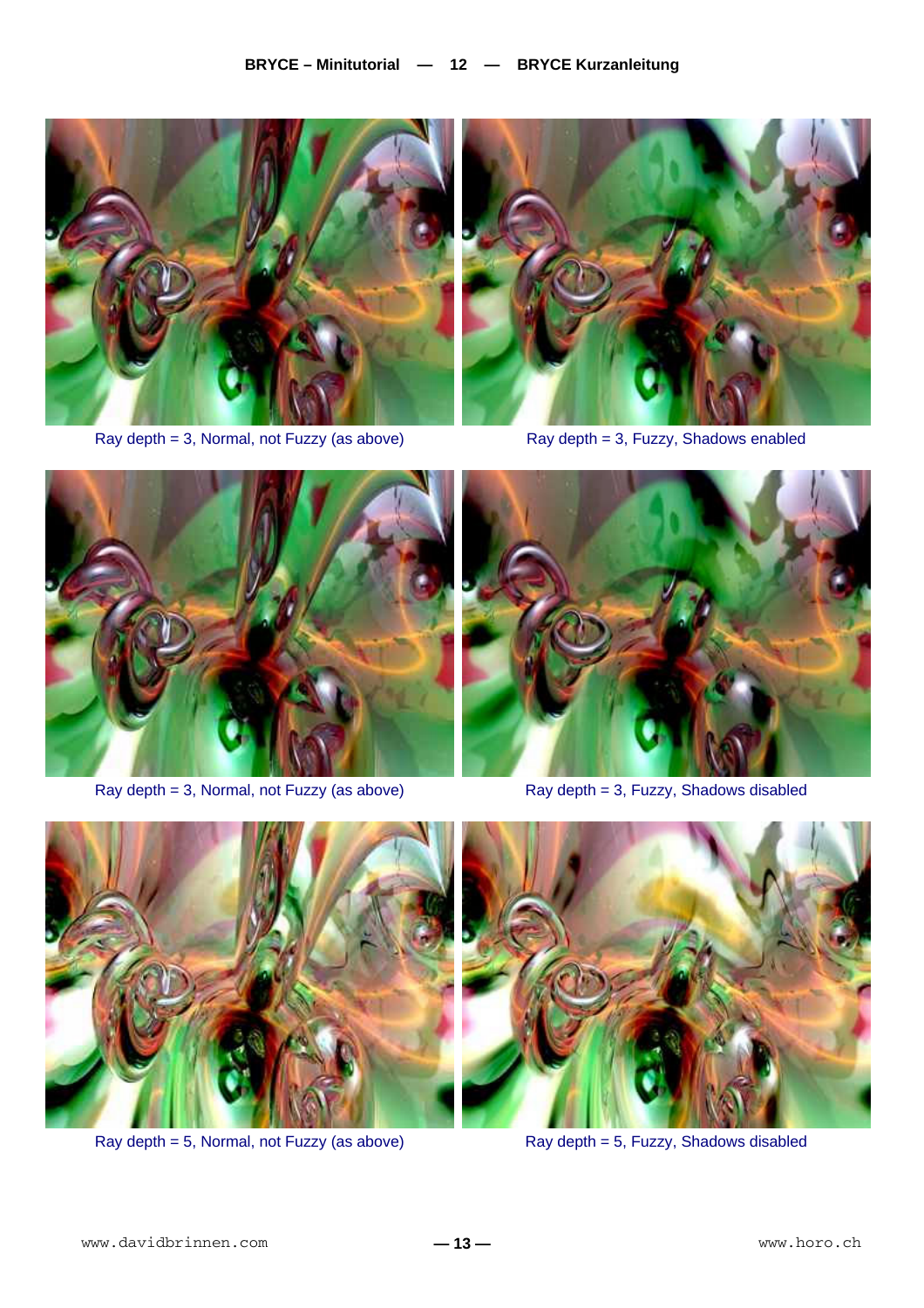

Ray depth = 3, Normal, not Fuzzy (as above) Ray depth = 3, Fuzzy, Shadows enabled





Ray depth = 3, Normal, not Fuzzy (as above) Ray depth = 3, Fuzzy, Shadows disabled





Ray depth = 5, Normal, not Fuzzy (as above) Ray depth = 5, Fuzzy, Shadows disabled